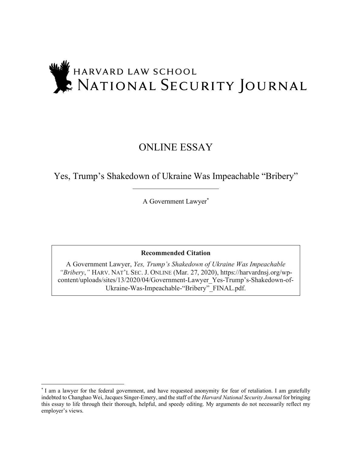# HARVARD LAW SCHOOL HARVARD LAW SCHOOL

## ONLINE ESSAY

Yes, Trump's Shakedown of Ukraine Was Impeachable "Bribery" \_\_\_\_\_\_\_\_\_\_\_\_\_\_\_\_\_\_\_\_\_\_\_\_\_

A Government Lawyer\*

**Recommended Citation**

A Government Lawyer, *Yes, Trump's Shakedown of Ukraine Was Impeachable "Bribery*,*"* HARV. NAT'L SEC. J. ONLINE (Mar. 27, 2020), https://harvardnsj.org/wpcontent/uploads/sites/13/2020/04/Government-Lawyer\_Yes-Trump's-Shakedown-of-Ukraine-Was-Impeachable-"Bribery"\_FINAL.pdf.

 <sup>\*</sup> I am <sup>a</sup> lawyer for the federal government, and have requested anonymity for fear of retaliation. I am gratefully indebted to Changhao Wei, Jacques Singer-Emery, and the staff of the *Harvard National Security Journal* for bringing this essay to life through their thorough, helpful, and speedy editing. My arguments do not necessarily reflect my employer's views.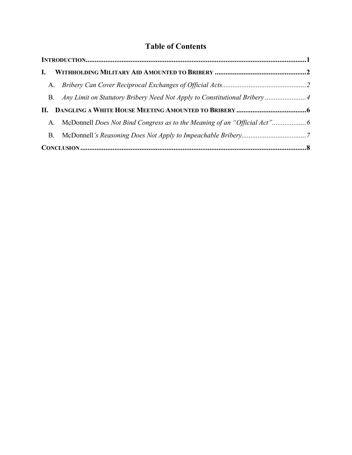### **Table of Contents**

| $\mathbf{L}$ |                                                                            |  |
|--------------|----------------------------------------------------------------------------|--|
|              |                                                                            |  |
|              | B. Any Limit on Statutory Bribery Need Not Apply to Constitutional Bribery |  |
|              |                                                                            |  |
|              |                                                                            |  |
|              |                                                                            |  |
|              |                                                                            |  |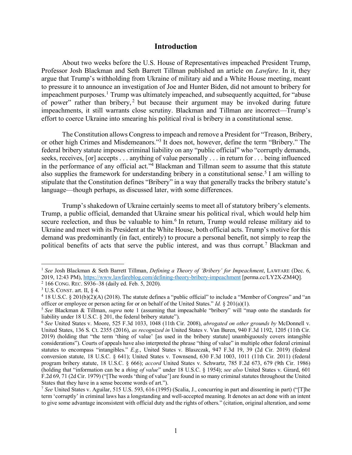#### **Introduction**

About two weeks before the U.S. House of Representatives impeached President Trump, Professor Josh Blackman and Seth Barrett Tillman published an article on *Lawfare*. In it, they argue that Trump's withholding from Ukraine of military aid and a White House meeting, meant to pressure it to announce an investigation of Joe and Hunter Biden, did not amount to bribery for impeachment purposes. <sup>1</sup> Trump was ultimately impeached, and subsequently acquitted, for "abuse of power" rather than bribery, <sup>2</sup> but because their argument may be invoked during future impeachments, it still warrants close scrutiny. Blackman and Tillman are incorrect—Trump's effort to coerce Ukraine into smearing his political rival is bribery in a constitutional sense.

The Constitution allows Congress to impeach and remove a President for "Treason, Bribery, or other high Crimes and Misdemeanors."3 It does not, however, define the term "Bribery." The federal bribery statute imposes criminal liability on any "public official" who "corruptly demands, seeks, receives, [or] accepts . . . anything of value personally . . . in return for . . . being influenced in the performance of any official act."4 Blackman and Tillman seem to assume that this statute also supplies the framework for understanding bribery in a constitutional sense. <sup>5</sup> I am willing to stipulate that the Constitution defines "Bribery" in a way that generally tracks the bribery statute's language—though perhaps, as discussed later, with some differences.

Trump's shakedown of Ukraine certainly seems to meet all of statutory bribery's elements. Trump, a public official, demanded that Ukraine smear his political rival, which would help him secure reelection, and thus be valuable to him.<sup>6</sup> In return, Trump would release military aid to Ukraine and meet with its President at the White House, both official acts. Trump's motive for this demand was predominantly (in fact, entirely) to procure a personal benefit, not simply to reap the political benefits of acts that serve the public interest, and was thus corrupt.7 Blackman and

 <sup>1</sup> *See* Josh Blackman & Seth Barrett Tillman, *Defining a Theory of 'Bribery' for Impeachment*, LAWFARE (Dec. 6, 2019, 12:43 PM), https://www.lawfareblog.com/defining-theory-bribery-impeachment [perma.cc/LY2X-ZM4Q].

<sup>2</sup> 166 CONG. REC. S936–38 (daily ed. Feb. 5, 2020).

 $3$  U.S. CONST. art. II,  $§$  4.

 $4$  18 U.S.C. § 201(b)(2)(A) (2018). The statute defines a "public official" to include a "Member of Congress" and "an officer or employee or person acting for or on behalf of the United States." *Id.* § 201(a)(1).

<sup>5</sup> *See* Blackman & Tillman, *supra* note 1 (assuming that impeachable "bribery" will "map onto the standards for liability under 18 U.S.C. § 201, the federal bribery statute").

<sup>6</sup> *See* United States v. Moore, 525 F.3d 1033, 1048 (11th Cir. 2008), *abrogated on other grounds by* McDonnell v. United States, 136 S. Ct. 2355 (2016), *as recognized in* United States v. Van Buren, 940 F.3d 1192, 1205 (11th Cir. 2019) (holding that "the term 'thing of value' [as used in the bribery statute] unambiguously covers intangible considerations"). Courts of appeals have also interpreted the phrase "thing of value" in multiple other federal criminal statutes to encompass "intangibles." *E.g.*, United States v. Blaszczak, 947 F.3d 19, 39 (2d Cir. 2019) (federal conversion statute, 18 U.S.C. § 641); United States v. Townsend, 630 F.3d 1003, 1011 (11th Cir. 2011) (federal program bribery statute, 18 U.S.C. § 666); *accord* United States v. Schwartz, 785 F.2d 673, 679 (9th Cir. 1986) (holding that "information can be a *thing of value*" under 18 U.S.C. § 1954); *see also* United States v. Girard, 601 F.2d 69, 71 (2d Cir. 1979) ("[The words 'thing of value'] are found in so many criminal statutes throughout the United States that they have in a sense become words of art.").

<sup>7</sup> *See* United States v. Aguilar, 515 U.S. 593, 616 (1995) (Scalia, J., concurring in part and dissenting in part) ("[T]he term 'corruptly' in criminal laws has a longstanding and well-accepted meaning. It denotes an act done with an intent to give some advantage inconsistent with official duty and the rights of others." (citation, original alteration, and some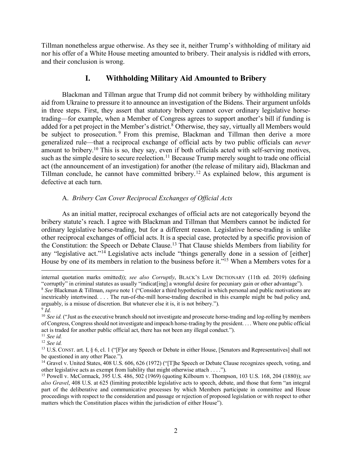Tillman nonetheless argue otherwise. As they see it, neither Trump's withholding of military aid nor his offer of a White House meeting amounted to bribery. Their analysis is riddled with errors, and their conclusion is wrong.

#### **I. Withholding Military Aid Amounted to Bribery**

Blackman and Tillman argue that Trump did not commit bribery by withholding military aid from Ukraine to pressure it to announce an investigation of the Bidens. Their argument unfolds in three steps. First, they assert that statutory bribery cannot cover ordinary legislative horsetrading—for example, when a Member of Congress agrees to support another's bill if funding is added for a pet project in the Member's district. <sup>8</sup> Otherwise, they say, virtually all Members would be subject to prosecution. <sup>9</sup> From this premise, Blackman and Tillman then derive a more generalized rule—that a reciprocal exchange of official acts by two public officials can *never* amount to bribery.10 This is so, they say, even if both officials acted with self-serving motives, such as the simple desire to secure reelection.<sup>11</sup> Because Trump merely sought to trade one official act (the announcement of an investigation) for another (the release of military aid), Blackman and Tillman conclude, he cannot have committed bribery.12 As explained below, this argument is defective at each turn.

#### A. *Bribery Can Cover Reciprocal Exchanges of Official Acts*

As an initial matter, reciprocal exchanges of official acts are not categorically beyond the bribery statute's reach. I agree with Blackman and Tillman that Members cannot be indicted for ordinary legislative horse-trading, but for a different reason. Legislative horse-trading is unlike other reciprocal exchanges of official acts. It is a special case, protected by a specific provision of the Constitution: the Speech or Debate Clause. <sup>13</sup> That Clause shields Members from liability for any "legislative act."<sup>14</sup> Legislative acts include "things generally done in a session of [either] House by one of its members in relation to the business before it."<sup>15</sup> When a Members votes for a

 $\overline{a}$ 

internal quotation marks omitted)); *see also Corruptly*, BLACK'S LAW DICTIONARY (11th ed. 2019) (defining "corruptly" in criminal statutes as usually "indicat [ing] a wrongful desire for pecuniary gain or other advantage").

<sup>8</sup> *See* Blackman & Tillman, *supra* note 1 ("Consider a third hypothetical in which personal and public motivations are inextricably intertwined. . . . The run-of-the-mill horse-trading described in this example might be bad policy and, arguably, is a misuse of discretion. But whatever else it is, it is not bribery.").

 $9$  *Id.* 

<sup>&</sup>lt;sup>10</sup> *See id.* ("Just as the executive branch should not investigate and prosecute horse-trading and log-rolling by members of Congress, Congress should not investigate and impeach horse-trading by the president. . . . Where one public official act is traded for another public official act, there has not been any illegal conduct.").

<sup>11</sup> *See id.*

<sup>12</sup> *See id.*

<sup>&</sup>lt;sup>13</sup> U.S. CONST. art. I, § 6, cl. 1 ("[F]or any Speech or Debate in either House, [Senators and Representatives] shall not be questioned in any other Place.").

<sup>&</sup>lt;sup>14</sup> Gravel v. United States, 408 U.S. 606, 626 (1972) ("[T]he Speech or Debate Clause recognizes speech, voting, and other legislative acts as exempt from liability that might otherwise attach . . . .").

<sup>15</sup> Powell v. McCormack, 395 U.S. 486, 502 (1969) (quoting Kilbourn v. Thompson, 103 U.S. 168, 204 (1880)); *see also Gravel*, 408 U.S. at 625 (limiting protectible legislative acts to speech, debate, and those that form "an integral part of the deliberative and communicative processes by which Members participate in committee and House proceedings with respect to the consideration and passage or rejection of proposed legislation or with respect to other matters which the Constitution places within the jurisdiction of either House").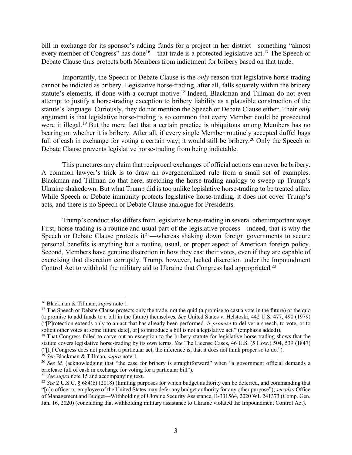bill in exchange for its sponsor's adding funds for a project in her district—something "almost every member of Congress" has done<sup>16</sup>—that trade is a protected legislative act.<sup>17</sup> The Speech or Debate Clause thus protects both Members from indictment for bribery based on that trade.

Importantly, the Speech or Debate Clause is the *only* reason that legislative horse-trading cannot be indicted as bribery. Legislative horse-trading, after all, falls squarely within the bribery statute's elements, if done with a corrupt motive.<sup>18</sup> Indeed, Blackman and Tillman do not even attempt to justify a horse-trading exception to bribery liability as a plausible construction of the statute's language. Curiously, they do not mention the Speech or Debate Clause either. Their *only* argument is that legislative horse-trading is so common that every Member could be prosecuted were it illegal.<sup>19</sup> But the mere fact that a certain practice is ubiquitous among Members has no bearing on whether it is bribery. After all, if every single Member routinely accepted duffel bags full of cash in exchange for voting a certain way, it would still be bribery.<sup>20</sup> Only the Speech or Debate Clause prevents legislative horse-trading from being indictable.

This punctures any claim that reciprocal exchanges of official actions can never be bribery. A common lawyer's trick is to draw an overgeneralized rule from a small set of examples. Blackman and Tillman do that here, stretching the horse-trading analogy to sweep up Trump's Ukraine shakedown. But what Trump did is too unlike legislative horse-trading to be treated alike. While Speech or Debate immunity protects legislative horse-trading, it does not cover Trump's acts, and there is no Speech or Debate Clause analogue for Presidents.

Trump's conduct also differs from legislative horse-trading in several other important ways. First, horse-trading is a routine and usual part of the legislative process—indeed, that is why the Speech or Debate Clause protects  $it^{21}$ —whereas shaking down foreign governments to secure personal benefits is anything but a routine, usual, or proper aspect of American foreign policy. Second, Members have genuine discretion in how they cast their votes, even if they are capable of exercising that discretion corruptly. Trump, however, lacked discretion under the Impoundment Control Act to withhold the military aid to Ukraine that Congress had appropriated.22

<sup>19</sup> *See* Blackman & Tillman, *supra* note 1.

 <sup>16</sup> Blackman & Tillman, *supra* note 1.

<sup>&</sup>lt;sup>17</sup> The Speech or Debate Clause protects only the trade, not the quid (a promise to cast a vote in the future) or the quo (a promise to add funds to a bill in the future) themselves. *See* United States v. Helstoski, 442 U.S. 477, 490 (1979) ("[P]rotection extends only to an act that has already been performed. A *promise* to deliver a speech, to vote, or to solicit other votes at some future date[, or] to introduce a bill is not a legislative act." (emphasis added)).

<sup>&</sup>lt;sup>18</sup> That Congress failed to carve out an exception to the bribery statute for legislative horse-trading shows that the statute covers legislative horse-trading by its own terms. *See* The License Cases, 46 U.S. (5 How.) 504, 539 (1847) ("[I]f Congress does not prohibit a particular act, the inference is, that it does not think proper so to do.").

<sup>&</sup>lt;sup>20</sup> *See id.* (acknowledging that "the case for bribery is straightforward" when "a government official demands a briefcase full of cash in exchange for voting for a particular bill").

<sup>&</sup>lt;sup>21</sup> *See supra* note 15 and accompanying text.

<sup>22</sup> *See* 2 U.S.C. § 684(b) (2018) (limiting purposes for which budget authority can be deferred, and commanding that "[n]o officer or employee of the United States may defer any budget authority for any other purpose"); *see also* Office of Management and Budget—Withholding of Ukraine Security Assistance, B-331564, 2020 WL 241373 (Comp. Gen.

Jan. 16, 2020) (concluding that withholding military assistance to Ukraine violated the Impoundment Control Act).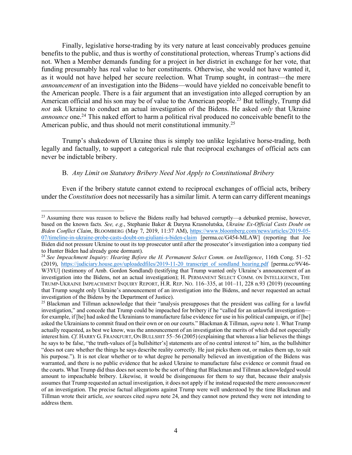Finally, legislative horse-trading by its very nature at least conceivably produces genuine benefits to the public, and thus is worthy of constitutional protection, whereas Trump's actions did not. When a Member demands funding for a project in her district in exchange for her vote, that funding presumably has real value to her constituents. Otherwise, she would not have wanted it, as it would not have helped her secure reelection. What Trump sought, in contrast—the mere *announcement* of an investigation into the Bidens—would have yielded no conceivable benefit to the American people. There is a fair argument that an investigation into alleged corruption by an American official and his son may be of value to the American people.23 But tellingly, Trump did *not* ask Ukraine to conduct an actual investigation of the Bidens. He asked *only* that Ukraine *announce* one. <sup>24</sup> This naked effort to harm a political rival produced no conceivable benefit to the American public, and thus should not merit constitutional immunity.<sup>25</sup>

Trump's shakedown of Ukraine thus is simply too unlike legislative horse-trading, both legally and factually, to support a categorical rule that reciprocal exchanges of official acts can never be indictable bribery.

#### B. *Any Limit on Statutory Bribery Need Not Apply to Constitutional Bribery*

Even if the bribery statute cannot extend to reciprocal exchanges of official acts, bribery under the *Constitution* does not necessarily has a similar limit. A term can carry different meanings

<sup>&</sup>lt;sup>23</sup> Assuming there was reason to believe the Bidens really had behaved corruptly—a debunked premise, however, based on the known facts*. See, e.g.*, Stephanie Baker & Daryna Krasnolutska, *Ukraine Ex-Official Casts Doubt on Biden Conflict Claim*, BLOOMBERG (May 7, 2019, 11:37 AM), https://www.bloomberg.com/news/articles/2019-05- 07/timeline-in-ukraine-probe-casts-doubt-on-giuliani-s-biden-claim [perma.cc/G454-MLAW] (reporting that Joe Biden did not pressure Ukraine to oust its top prosecutor until after the prosecutor's investigation into a company tied to Hunter Biden had already gone dormant).

<sup>24</sup> *See Impeachment Inquiry: Hearing Before the H. Permanent Select Comm. on Intelligence*, 116th Cong. 51–52 (2019), https://judiciary.house.gov/uploadedfiles/2019-11-20 transcript of sondland hearing.pdf [perma.cc/9V46-W3YU] (testimony of Amb. Gordon Sondland) (testifying that Trump wanted only Ukraine's announcement of an investigation into the Bidens, not an actual investigation); H. PERMANENT SELECT COMM. ON INTELLIGENCE, THE TRUMP-UKRAINE IMPEACHMENT INQUIRY REPORT, H.R. REP. NO. 116–335, at 101–11, 228 n.93 (2019) (recounting that Trump sought only Ukraine's announcement of an investigation into the Bidens, and never requested an actual investigation of the Bidens by the Department of Justice).

<sup>&</sup>lt;sup>25</sup> Blackman and Tillman acknowledge that their "analysis presupposes that the president was calling for a lawful investigation," and concede that Trump could be impeached for bribery if he "called for an unlawful investigation for example, if [he] had asked the Ukrainians to manufacture false evidence for use in his political campaign, or if [he] asked the Ukrainians to commit fraud on their own or on our courts." Blackman & Tillman, *supra* note 1. What Trump actually requested, as best we know, was the announcement of an investigation the merits of which did not especially interest him. *Cf.* HARRY G. FRANKFURT, ON BULLSHIT 55–56 (2005) (explaining that whereas a liar believes the things he says to be false, "the truth-values of [a bullshitter's] statements are of no central interest to" him, as the bullshitter "does not care whether the things he says describe reality correctly. He just picks them out, or makes them up, to suit his purpose."). It is not clear whether or to what degree he personally believed an investigation of the Bidens was warranted, and there is no public evidence that he asked Ukraine to manufacture false evidence or commit fraud on the courts. What Trump did thus does not seem to be the sort of thing that Blackman and Tillman acknowledged would amount to impeachable bribery. Likewise, it would be disingenuous for them to say that, because their analysis assumes that Trump requested an actual investigation, it does not apply if he instead requested the mere *announcement* of an investigation. The precise factual allegations against Trump were well understood by the time Blackman and Tillman wrote their article, *see* sources cited *supra* note 24, and they cannot now pretend they were not intending to address them.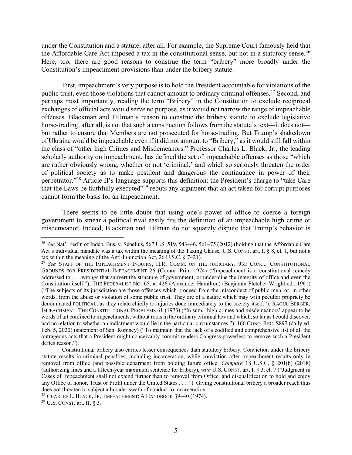under the Constitution and a statute, after all. For example, the Supreme Court famously held that the Affordable Care Act imposed a tax in the constitutional sense, but not in a statutory sense.26 Here, too, there are good reasons to construe the term "bribery" more broadly under the Constitution's impeachment provisions than under the bribery statute.

First, impeachment's very purpose is to hold the President accountable for violations of the public trust, even those violations that cannot amount to ordinary criminal offenses.<sup>27</sup> Second, and perhaps most importantly, reading the term "Bribery" in the Constitution to exclude reciprocal exchanges of official acts would serve no purpose, as it would not narrow the range of impeachable offenses. Blackman and Tillman's reason to construe the bribery statute to exclude legislative horse-trading, after all, is not that such a construction follows from the statute's text—it does not but rather to ensure that Members are not prosecuted for horse-trading. But Trump's shakedown of Ukraine would be impeachable even if it did not amount to "Bribery," as it would still fall within the class of "other high Crimes and Misdemeanors." Professor Charles L. Black, Jr., the leading scholarly authority on impeachment, has defined the set of impeachable offenses as those "which are rather obviously wrong, whether or not 'criminal,' and which so seriously threaten the order of political society as to make pestilent and dangerous the continuance in power of their perpetrator."28 Article II's language supports this definition: the President's charge to "take Care that the Laws be faithfully executed"29 rebuts any argument that an act taken for corrupt purposes cannot form the basis for an impeachment.

There seems to be little doubt that using one's power of office to coerce a foreign government to smear a political rival easily fits the definition of an impeachable high crime or misdemeanor. Indeed, Blackman and Tillman do not squarely dispute that Trump's behavior is

<sup>29</sup> U.S. CONST. art. II, § 3.

 <sup>26</sup> *See* Nat'l Fed'n of Indep. Bus. v. Sebelius, 567 U.S. 519, 543–46, 561–75 (2012) (holding that the Affordable Care Act's individual mandate was a tax within the meaning of the Taxing Clause, U.S. CONST. art. I, § 8, cl. 1, but not a tax within the meaning of the Anti-Injunction Act, 26 U.S.C. § 7421).

<sup>27</sup> *See* STAFF OF THE IMPEACHMENT INQUIRY, H.R. COMM. ON THE JUDICIARY, 93D CONG., CONSTITUTIONAL GROUNDS FOR PRESIDENTIAL IMPEACHMENT 26 (Comm. Print 1974) ("Impeachment is a constitutional remedy addressed to . . . wrongs that subvert the structure of government, or undermine the integrity of office and even the Constitution itself."); THE FEDERALIST NO. 65, at 426 (Alexander Hamilton) (Benjamin Fletcher Wright ed., 1961) ("The subjects of its jurisdiction are those offences which proceed from the misconduct of public men, or, in other words, from the abuse or violation of some public trust. They are of a nature which may with peculiar propriety be denominated POLITICAL, as they relate chiefly to injuries done immediately to the society itself."); RAOUL BERGER, IMPEACHMENT: THE CONSTITUTIONAL PROBLEMS 61 (1973) ("In sum, 'high crimes and misdemeanors' appear to be words of art confined to impeachments, without roots in the ordinary criminal law and which, so far as I could discover, had no relation to whether an indictment would lie in the particular circumstances."); 166 CONG. REC. S897 (daily ed. Feb. 5, 2020) (statement of Sen. Romney) ("To maintain that the lack of a codified and comprehensive list of all the outrageous acts that a President might conceivably commit renders Congress powerless to remove such a President defies reason.").

Constitutional bribery also carries lesser consequences than statutory bribery. Conviction under the bribery statute results in criminal penalties, including incarceration, while conviction after impeachment results only in removal from office (and possible debarment from holding future office. *Compare* 18 U.S.C. § 201(b) (2018) (authorizing fines and a fifteen-year maximum sentence for bribery), *with* U.S. CONST. art. I, § 3, cl. 7 ("Judgment in Cases of Impeachment shall not extend further than to removal from Office, and disqualification to hold and enjoy any Office of honor, Trust or Profit under the United States . . . ."). Giving constitutional bribery a broader reach thus does not threaten to subject a broader swath of conduct to incarceration.

<sup>&</sup>lt;sup>28</sup> CHARLES L. BLACK, JR., IMPEACHMENT: A HANDBOOK 39–40 (1974).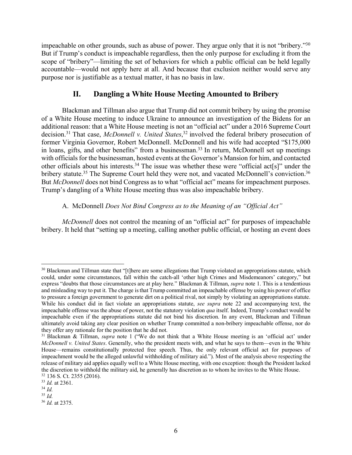impeachable on other grounds, such as abuse of power. They argue only that it is not "bribery."30 But if Trump's conduct is impeachable regardless, then the only purpose for excluding it from the scope of "bribery"—limiting the set of behaviors for which a public official can be held legally accountable—would not apply here at all. And because that exclusion neither would serve any purpose nor is justifiable as a textual matter, it has no basis in law.

#### **II. Dangling a White House Meeting Amounted to Bribery**

Blackman and Tillman also argue that Trump did not commit bribery by using the promise of a White House meeting to induce Ukraine to announce an investigation of the Bidens for an additional reason: that a White House meeting is not an "official act" under a 2016 Supreme Court decision.31 That case, *McDonnell v. United States*, <sup>32</sup> involved the federal bribery prosecution of former Virginia Governor, Robert McDonnell. McDonnell and his wife had accepted "\$175,000 in loans, gifts, and other benefits" from a businessman.<sup>33</sup> In return, McDonnell set up meetings with officials for the businessman, hosted events at the Governor's Mansion for him, and contacted other officials about his interests.34 The issue was whether these were "official act[s]" under the bribery statute.<sup>35</sup> The Supreme Court held they were not, and vacated McDonnell's conviction.<sup>36</sup> But *McDonnell* does not bind Congress as to what "official act" means for impeachment purposes. Trump's dangling of a White House meeting thus was also impeachable bribery.

#### A. McDonnell *Does Not Bind Congress as to the Meaning of an "Official Act"*

*McDonnell* does not control the meaning of an "official act" for purposes of impeachable bribery. It held that "setting up a meeting, calling another public official, or hosting an event does

<sup>&</sup>lt;sup>30</sup> Blackman and Tillman state that "[t]here are some allegations that Trump violated an appropriations statute, which could, under some circumstances, fall within the catch-all 'other high Crimes and Misdemeanors' category," but express "doubts that those circumstances are at play here." Blackman & Tillman, *supra* note 1. This is a tendentious and misleading way to put it. The charge is that Trump committed an impeachable offense by using his power of office to pressure a foreign government to generate dirt on a political rival, not simply by violating an appropriations statute. While his conduct did in fact violate an appropriations statute, *see supra* note 22 and accompanying text, the impeachable offense was the abuse of power, not the statutory violation *qua* itself. Indeed, Trump's conduct would be impeachable even if the appropriations statute did not bind his discretion. In any event, Blackman and Tillman ultimately avoid taking any clear position on whether Trump committed a non-bribery impeachable offense, nor do they offer any rationale for the position that he did not.

<sup>31</sup> Blackman & Tillman, *supra* note 1 ("We do not think that a White House meeting is an 'official act' under *McDonnell v. United States*. Generally, who the president meets with, and what he says to them—even in the White House—remains constitutionally protected free speech. Thus, the only relevant official act for purposes of impeachment would be the alleged unlawful withholding of military aid."). Most of the analysis above respecting the release of military aid applies equally well to a White House meeting, with one exception: though the President lacked the discretion to withhold the military aid, he generally has discretion as to whom he invites to the White House. <sup>32</sup> 136 S. Ct. 2355 (2016).

<sup>33</sup> *Id.* at 2361.

<sup>34</sup> *Id.*

<sup>35</sup> *Id.*

<sup>36</sup> *Id.* at 2375.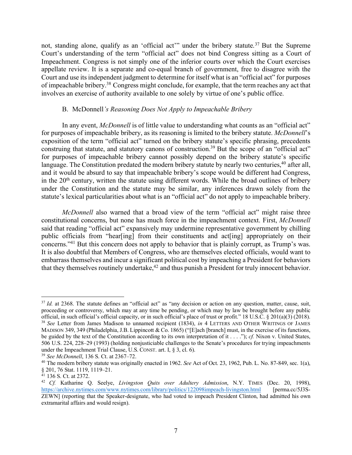not, standing alone, qualify as an 'official act'" under the bribery statute.<sup>37</sup> But the Supreme Court's understanding of the term "official act" does not bind Congress sitting as a Court of Impeachment. Congress is not simply one of the inferior courts over which the Court exercises appellate review. It is a separate and co-equal branch of government, free to disagree with the Court and use its independent judgment to determine for itself what is an "official act" for purposes of impeachable bribery.<sup>38</sup> Congress might conclude, for example, that the term reaches any act that involves an exercise of authority available to one solely by virtue of one's public office.

#### B. McDonnell*'s Reasoning Does Not Apply to Impeachable Bribery*

In any event, *McDonnell* is of little value to understanding what counts as an "official act" for purposes of impeachable bribery, as its reasoning is limited to the bribery statute. *McDonnell*'s exposition of the term "official act" turned on the bribery statute's specific phrasing, precedents construing that statute, and statutory canons of construction.<sup>39</sup> But the scope of an "official act" for purposes of impeachable bribery cannot possibly depend on the bribery statute's specific language. The Constitution predated the modern bribery statute by nearly two centuries, <sup>40</sup> after all, and it would be absurd to say that impeachable bribery's scope would be different had Congress, in the 20<sup>th</sup> century, written the statute using different words. While the broad outlines of bribery under the Constitution and the statute may be similar, any inferences drawn solely from the statute's lexical particularities about what is an "official act" do not apply to impeachable bribery.

*McDonnell* also warned that a broad view of the term "official act" might raise three constitutional concerns, but none has much force in the impeachment context. First, *McDonnell* said that reading "official act" expansively may undermine representative government by chilling public officials from "hear[ing] from their constituents and act[ing] appropriately on their concerns."41 But this concern does not apply to behavior that is plainly corrupt, as Trump's was. It is also doubtful that Members of Congress, who are themselves elected officials, would want to embarrass themselves and incur a significant political cost by impeaching a President for behaviors that they themselves routinely undertake, <sup>42</sup> and thus punish a President for truly innocent behavior.

<sup>&</sup>lt;sup>37</sup> *Id.* at 2368. The statute defines an "official act" as "any decision or action on any question, matter, cause, suit, proceeding or controversy, which may at any time be pending, or which may by law be brought before any public official, in such official's official capacity, or in such official's place of trust or profit." 18 U.S.C. § 201(a)(3) (2018). <sup>38</sup> *See* Letter from James Madison to unnamed recipient (1834), *in* 4 LETTERS AND OTHER WRITINGS OF JAMES MADISON 349, 349 (Philadelphia, J.B. Lippincott & Co. 1865) ("[E]ach [branch] must, in the exercise of its functions, be guided by the text of the Constitution according to its own interpretation of it . . . ."); *cf.* Nixon v. United States, 506 U.S. 224, 228–29 (1993) (holding nonjusticiable challenges to the Senate's procedures for trying impeachments under the Impeachment Trial Clause, U.S. CONST. art. I, § 3, cl. 6).

<sup>39</sup> *See McDonnell*, 136 S. Ct. at 2367–72.

<sup>40</sup> The modern bribery statute was originally enacted in 1962. *See* Act of Oct. 23, 1962, Pub. L. No. 87-849, sec. 1(a), § 201, 76 Stat. 1119, 1119–21.

 $41$  136 S. Ct. at 2372.

<sup>42</sup> *Cf.* Katharine Q. Seelye, *Livingston Quits over Adultery Admission*, N.Y. TIMES (Dec. 20, 1998), https://archive.nytimes.com/www.nytimes.com/library/politics/122098impeach-livingston.html [perma.cc/5J3S-ZEWN] (reporting that the Speaker-designate, who had voted to impeach President Clinton, had admitted his own extramarital affairs and would resign).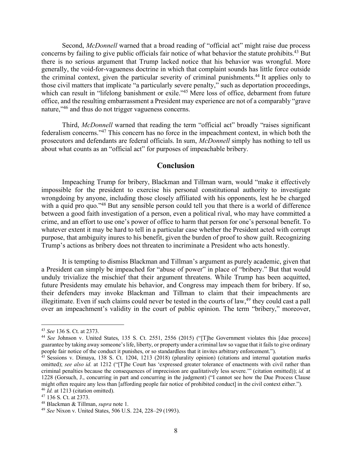Second, *McDonnell* warned that a broad reading of "official act" might raise due process concerns by failing to give public officials fair notice of what behavior the statute prohibits. <sup>43</sup> But there is no serious argument that Trump lacked notice that his behavior was wrongful. More generally, the void-for-vagueness doctrine in which that complaint sounds has little force outside the criminal context, given the particular severity of criminal punishments. <sup>44</sup> It applies only to those civil matters that implicate "a particularly severe penalty," such as deportation proceedings, which can result in "lifelong banishment or exile."<sup>45</sup> Mere loss of office, debarment from future office, and the resulting embarrassment a President may experience are not of a comparably "grave nature,"<sup>46</sup> and thus do not trigger vagueness concerns.

Third, *McDonnell* warned that reading the term "official act" broadly "raises significant federalism concerns."47 This concern has no force in the impeachment context, in which both the prosecutors and defendants are federal officials. In sum, *McDonnell* simply has nothing to tell us about what counts as an "official act" for purposes of impeachable bribery.

#### **Conclusion**

Impeaching Trump for bribery, Blackman and Tillman warn, would "make it effectively impossible for the president to exercise his personal constitutional authority to investigate wrongdoing by anyone, including those closely affiliated with his opponents, lest he be charged with a quid pro quo."<sup>48</sup> But any sensible person could tell you that there is a world of difference between a good faith investigation of a person, even a political rival, who may have committed a crime, and an effort to use one's power of office to harm that person for one's personal benefit. To whatever extent it may be hard to tell in a particular case whether the President acted with corrupt purpose, that ambiguity inures to his benefit, given the burden of proof to show guilt. Recognizing Trump's actions as bribery does not threaten to incriminate a President who acts honestly.

It is tempting to dismiss Blackman and Tillman's argument as purely academic, given that a President can simply be impeached for "abuse of power" in place of "bribery." But that would unduly trivialize the mischief that their argument threatens. While Trump has been acquitted, future Presidents may emulate his behavior, and Congress may impeach them for bribery. If so, their defenders may invoke Blackman and Tillman to claim that their impeachments are illegitimate. Even if such claims could never be tested in the courts of law,  $49$  they could cast a pall over an impeachment's validity in the court of public opinion. The term "bribery," moreover,

 <sup>43</sup> *See* 136 S. Ct. at 2373.

<sup>44</sup> *See* Johnson v. United States, 135 S. Ct. 2551, 2556 (2015) ("[T]he Government violates this [due process] guarantee by taking away someone's life, liberty, or property under a criminal law so vague that it fails to give ordinary people fair notice of the conduct it punishes, or so standardless that it invites arbitrary enforcement.").

 $45$  Sessions v. Dimaya, 138 S. Ct. 1204, 1213 (2018) (plurality opinion) (citations and internal quotation marks omitted); *see also id.* at 1212 ("[T]he Court has 'expressed greater tolerance of enactments with civil rather than criminal penalties because the consequences of imprecision are qualitatively less severe.'" (citation omitted)); *id.* at 1228 (Gorsuch, J., concurring in part and concurring in the judgment) ("I cannot see how the Due Process Clause might often require any less than [affording people fair notice of prohibited conduct] in the civil context either."). <sup>46</sup> *Id.* at 1213 (citation omitted).

<sup>47</sup> 136 S. Ct. at 2373.

<sup>48</sup> Blackman & Tillman, *supra* note 1.

<sup>49</sup> *See* Nixon v. United States, 506 U.S. 224, 228–29 (1993).